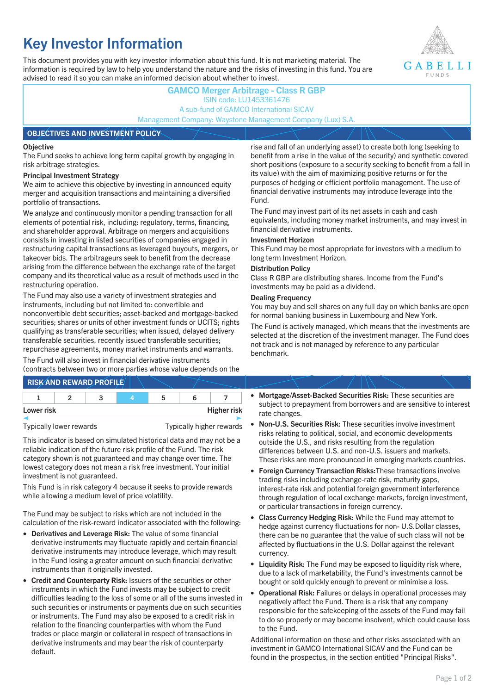# **Key Investor Information**

This document provides you with key investor information about this fund. It is not marketing material. The information is required by law to help you understand the nature and the risks of investing in this fund. You are advised to read it so you can make an informed decision about whether to invest.



# **GAMCO Merger Arbitrage - Class R GBP** ISIN code: LU1453361476 A sub-fund of GAMCO International SICAV Management Company: Waystone Management Company (Lux) S.A.

# **OBJECTIVES AND INVESTMENT POLICY**

### **Objective**

The Fund seeks to achieve long term capital growth by engaging in risk arbitrage strategies.

# **Principal Investment Strategy**

We aim to achieve this objective by investing in announced equity merger and acquisition transactions and maintaining a diversified portfolio of transactions.

We analyze and continuously monitor a pending transaction for all elements of potential risk, including: regulatory, terms, financing, and shareholder approval. Arbitrage on mergers and acquisitions consists in investing in listed securities of companies engaged in restructuring capital transactions as leveraged buyouts, mergers, or takeover bids. The arbitrageurs seek to benefit from the decrease arising from the difference between the exchange rate of the target company and its theoretical value as a result of methods used in the restructuring operation.

The Fund may also use a variety of investment strategies and instruments, including but not limited to: convertible and nonconvertible debt securities; asset-backed and mortgage-backed securities; shares or units of other investment funds or UCITS; rights qualifying as transferable securities; when issued, delayed delivery transferable securities, recently issued transferable securities; repurchase agreements, money market instruments and warrants.

The Fund will also invest in financial derivative instruments (contracts between two or more parties whose value depends on the

|            | <b>RISK AND REWARD PROFILE</b> |    |                    |
|------------|--------------------------------|----|--------------------|
|            |                                | 'n |                    |
| Lower risk |                                |    | <b>Higher risk</b> |

# Typically lower rewards Typically higher rewards

This indicator is based on simulated historical data and may not be a reliable indication of the future risk profile of the Fund. The risk category shown is not guaranteed and may change over time. The lowest category does not mean a risk free investment. Your initial investment is not guaranteed.

This Fund is in risk category 4 because it seeks to provide rewards while allowing a medium level of price volatility.

The Fund may be subject to risks which are not included in the calculation of the risk-reward indicator associated with the following:

- **Derivatives and Leverage Risk:** The value of some financial derivative instruments may fluctuate rapidly and certain financial derivative instruments may introduce leverage, which may result in the Fund losing a greater amount on such financial derivative instruments than it originally invested.
- **Credit and Counterparty Risk:** Issuers of the securities or other instruments in which the Fund invests may be subject to credit difficulties leading to the loss of some or all of the sums invested in such securities or instruments or payments due on such securities or instruments. The Fund may also be exposed to a credit risk in relation to the financing counterparties with whom the Fund trades or place margin or collateral in respect of transactions in derivative instruments and may bear the risk of counterparty default.

rise and fall of an underlying asset) to create both long (seeking to benefit from a rise in the value of the security) and synthetic covered short positions (exposure to a security seeking to benefit from a fall in its value) with the aim of maximizing positive returns or for the purposes of hedging or efficient portfolio management. The use of financial derivative instruments may introduce leverage into the Fund.

The Fund may invest part of its net assets in cash and cash equivalents, including money market instruments, and may invest in financial derivative instruments.

### **Investment Horizon**

This Fund may be most appropriate for investors with a medium to long term Investment Horizon.

### **Distribution Policy**

Class R GBP are distributing shares. Income from the Fund's investments may be paid as a dividend.

### **Dealing Frequency**

You may buy and sell shares on any full day on which banks are open for normal banking business in Luxembourg and New York.

The Fund is actively managed, which means that the investments are selected at the discretion of the investment manager. The Fund does not track and is not managed by reference to any particular benchmark.

- **Mortgage/Asset-Backed Securities Risk:** These securities are subject to prepayment from borrowers and are sensitive to interest rate changes.
- **Non-U.S. Securities Risk:** These securities involve investment risks relating to political, social, and economic developments outside the U.S., and risks resulting from the regulation differences between U.S. and non-U.S. issuers and markets. These risks are more pronounced in emerging markets countries.
- **Foreign Currency Transaction Risks:**These transactions involve trading risks including exchange-rate risk, maturity gaps, interest-rate risk and potential foreign government interference through regulation of local exchange markets, foreign investment, or particular transactions in foreign currency.
- **Class Currency Hedging Risk:** While the Fund may attempt to hedge against currency fluctuations for non- U.S.Dollar classes, there can be no guarantee that the value of such class will not be affected by fluctuations in the U.S. Dollar against the relevant currency.
- **Liquidity Risk:** The Fund may be exposed to liquidity risk where, due to a lack of marketability, the Fund's investments cannot be bought or sold quickly enough to prevent or minimise a loss.
- **Operational Risk:** Failures or delays in operational processes may negatively affect the Fund. There is a risk that any company responsible for the safekeeping of the assets of the Fund may fail to do so properly or may become insolvent, which could cause loss to the Fund.

Additional information on these and other risks associated with an investment in GAMCO International SICAV and the Fund can be found in the prospectus, in the section entitled "Principal Risks".